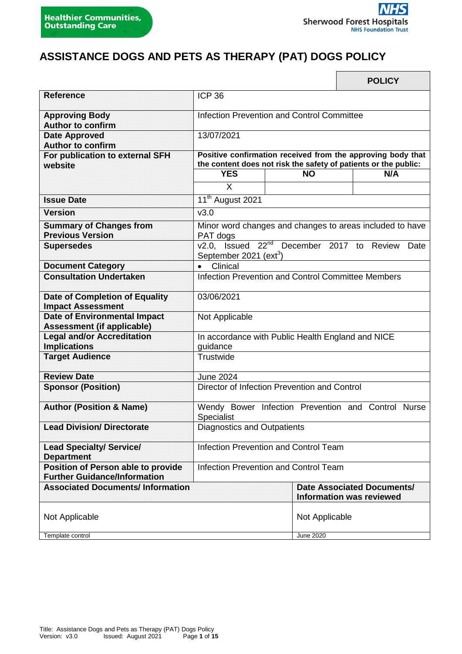# **ASSISTANCE DOGS AND PETS AS THERAPY (PAT) DOGS POLICY**

|                                                                                  |                                                                                                                                |                                       | <b>POLICY</b>                                                        |
|----------------------------------------------------------------------------------|--------------------------------------------------------------------------------------------------------------------------------|---------------------------------------|----------------------------------------------------------------------|
| <b>Reference</b>                                                                 | <b>ICP 36</b>                                                                                                                  |                                       |                                                                      |
| <b>Approving Body</b><br><b>Author to confirm</b>                                | Infection Prevention and Control Committee                                                                                     |                                       |                                                                      |
| <b>Date Approved</b><br><b>Author to confirm</b>                                 | 13/07/2021                                                                                                                     |                                       |                                                                      |
| For publication to external SFH<br>website                                       | Positive confirmation received from the approving body that<br>the content does not risk the safety of patients or the public: |                                       |                                                                      |
|                                                                                  | <b>YES</b><br>X                                                                                                                | <b>NO</b>                             | N/A                                                                  |
| <b>Issue Date</b>                                                                | 11 <sup>th</sup> August 2021                                                                                                   |                                       |                                                                      |
| <b>Version</b>                                                                   | v3.0                                                                                                                           |                                       |                                                                      |
| <b>Summary of Changes from</b>                                                   |                                                                                                                                |                                       | Minor word changes and changes to areas included to have             |
| <b>Previous Version</b>                                                          | PAT dogs                                                                                                                       |                                       |                                                                      |
| <b>Supersedes</b>                                                                | v2.0, Issued 22 <sup>nd</sup> December 2017 to Review<br>Date<br>September 2021 (ext <sup>3</sup> )                            |                                       |                                                                      |
| <b>Document Category</b>                                                         | Clinical<br>$\bullet$                                                                                                          |                                       |                                                                      |
| <b>Consultation Undertaken</b>                                                   | Infection Prevention and Control Committee Members                                                                             |                                       |                                                                      |
| <b>Date of Completion of Equality</b><br><b>Impact Assessment</b>                | 03/06/2021                                                                                                                     |                                       |                                                                      |
| <b>Date of Environmental Impact</b><br><b>Assessment (if applicable)</b>         | Not Applicable                                                                                                                 |                                       |                                                                      |
| <b>Legal and/or Accreditation</b><br><b>Implications</b>                         | In accordance with Public Health England and NICE<br>guidance                                                                  |                                       |                                                                      |
| <b>Target Audience</b>                                                           | Trustwide                                                                                                                      |                                       |                                                                      |
| <b>Review Date</b>                                                               | <b>June 2024</b>                                                                                                               |                                       |                                                                      |
| <b>Sponsor (Position)</b>                                                        | Director of Infection Prevention and Control                                                                                   |                                       |                                                                      |
| <b>Author (Position &amp; Name)</b>                                              | Wendy Bower Infection Prevention and Control Nurse<br>Specialist                                                               |                                       |                                                                      |
| <b>Lead Division/ Directorate</b>                                                | Diagnostics and Outpatients                                                                                                    |                                       |                                                                      |
| <b>Lead Specialty/ Service/</b><br><b>Department</b>                             | Infection Prevention and Control Team                                                                                          |                                       |                                                                      |
| <b>Position of Person able to provide</b><br><b>Further Guidance/Information</b> |                                                                                                                                | Infection Prevention and Control Team |                                                                      |
| <b>Associated Documents/Information</b>                                          |                                                                                                                                |                                       | <b>Date Associated Documents/</b><br><b>Information was reviewed</b> |
| Not Applicable                                                                   |                                                                                                                                | Not Applicable                        |                                                                      |
| Template control                                                                 |                                                                                                                                | <b>June 2020</b>                      |                                                                      |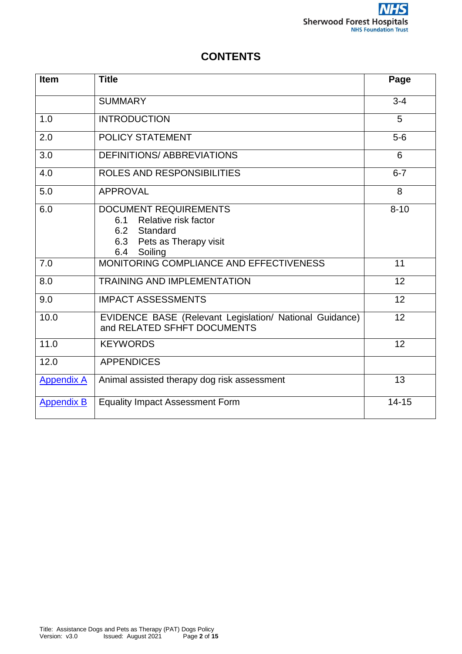# **CONTENTS**

| <b>Item</b>       | <b>Title</b>                                                                                                            | Page      |
|-------------------|-------------------------------------------------------------------------------------------------------------------------|-----------|
|                   | <b>SUMMARY</b>                                                                                                          | $3 - 4$   |
| 1.0               | <b>INTRODUCTION</b>                                                                                                     | 5         |
| 2.0               | <b>POLICY STATEMENT</b>                                                                                                 | $5-6$     |
| 3.0               | <b>DEFINITIONS/ ABBREVIATIONS</b>                                                                                       | 6         |
| 4.0               | ROLES AND RESPONSIBILITIES                                                                                              | $6 - 7$   |
| 5.0               | <b>APPROVAL</b>                                                                                                         | 8         |
| 6.0               | <b>DOCUMENT REQUIREMENTS</b><br>Relative risk factor<br>6.1<br>6.2 Standard<br>6.3 Pets as Therapy visit<br>6.4 Soiling | $8 - 10$  |
| 7.0               | MONITORING COMPLIANCE AND EFFECTIVENESS                                                                                 | 11        |
| 8.0               | <b>TRAINING AND IMPLEMENTATION</b>                                                                                      | 12        |
| 9.0               | <b>IMPACT ASSESSMENTS</b>                                                                                               | 12        |
| 10.0              | EVIDENCE BASE (Relevant Legislation/ National Guidance)<br>and RELATED SFHFT DOCUMENTS                                  |           |
| 11.0              | <b>KEYWORDS</b>                                                                                                         | 12        |
| 12.0              | <b>APPENDICES</b>                                                                                                       |           |
| <b>Appendix A</b> | Animal assisted therapy dog risk assessment                                                                             | 13        |
| <b>Appendix B</b> | <b>Equality Impact Assessment Form</b>                                                                                  | $14 - 15$ |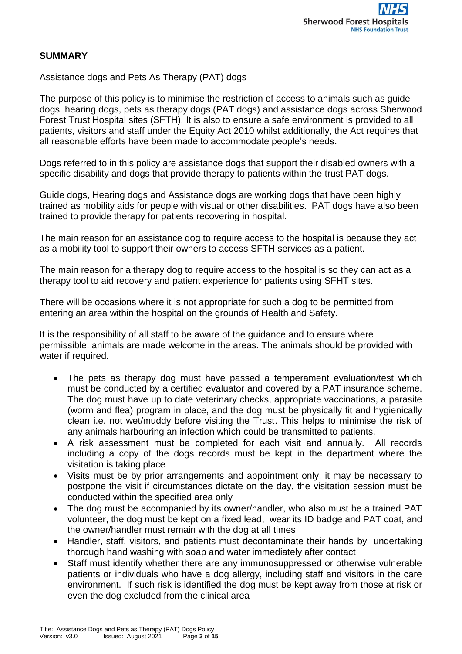### **SUMMARY**

Assistance dogs and Pets As Therapy (PAT) dogs

The purpose of this policy is to minimise the restriction of access to animals such as guide dogs, hearing dogs, pets as therapy dogs (PAT dogs) and assistance dogs across Sherwood Forest Trust Hospital sites (SFTH). It is also to ensure a safe environment is provided to all patients, visitors and staff under the Equity Act 2010 whilst additionally, the Act requires that all reasonable efforts have been made to accommodate people's needs.

Dogs referred to in this policy are assistance dogs that support their disabled owners with a specific disability and dogs that provide therapy to patients within the trust PAT dogs.

Guide dogs, Hearing dogs and Assistance dogs are working dogs that have been highly trained as mobility aids for people with visual or other disabilities. PAT dogs have also been trained to provide therapy for patients recovering in hospital.

The main reason for an assistance dog to require access to the hospital is because they act as a mobility tool to support their owners to access SFTH services as a patient.

The main reason for a therapy dog to require access to the hospital is so they can act as a therapy tool to aid recovery and patient experience for patients using SFHT sites.

There will be occasions where it is not appropriate for such a dog to be permitted from entering an area within the hospital on the grounds of Health and Safety.

It is the responsibility of all staff to be aware of the guidance and to ensure where permissible, animals are made welcome in the areas. The animals should be provided with water if required.

- The pets as therapy dog must have passed a temperament evaluation/test which must be conducted by a certified evaluator and covered by a PAT insurance scheme. The dog must have up to date veterinary checks, appropriate vaccinations, a parasite (worm and flea) program in place, and the dog must be physically fit and hygienically clean i.e. not wet/muddy before visiting the Trust. This helps to minimise the risk of any animals harbouring an infection which could be transmitted to patients.
- A risk assessment must be completed for each visit and annually. All records including a copy of the dogs records must be kept in the department where the visitation is taking place
- Visits must be by prior arrangements and appointment only, it may be necessary to postpone the visit if circumstances dictate on the day, the visitation session must be conducted within the specified area only
- The dog must be accompanied by its owner/handler, who also must be a trained PAT volunteer, the dog must be kept on a fixed lead, wear its ID badge and PAT coat, and the owner/handler must remain with the dog at all times
- Handler, staff, visitors, and patients must decontaminate their hands by undertaking thorough hand washing with soap and water immediately after contact
- Staff must identify whether there are any immunosuppressed or otherwise vulnerable patients or individuals who have a dog allergy, including staff and visitors in the care environment. If such risk is identified the dog must be kept away from those at risk or even the dog excluded from the clinical area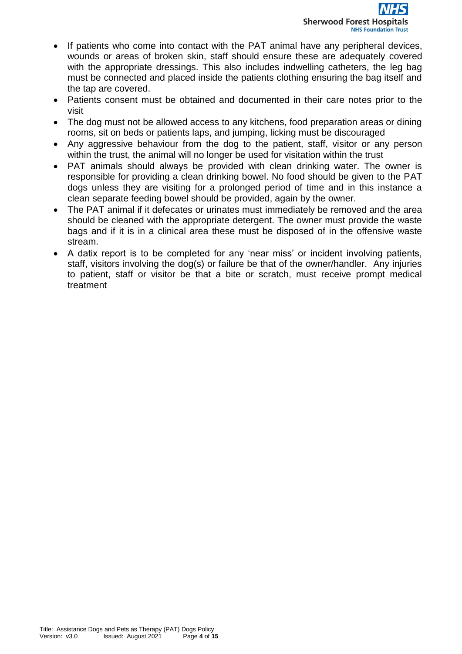- If patients who come into contact with the PAT animal have any peripheral devices, wounds or areas of broken skin, staff should ensure these are adequately covered with the appropriate dressings. This also includes indwelling catheters, the leg bag must be connected and placed inside the patients clothing ensuring the bag itself and the tap are covered.
- Patients consent must be obtained and documented in their care notes prior to the visit
- The dog must not be allowed access to any kitchens, food preparation areas or dining rooms, sit on beds or patients laps, and jumping, licking must be discouraged
- Any aggressive behaviour from the dog to the patient, staff, visitor or any person within the trust, the animal will no longer be used for visitation within the trust
- PAT animals should always be provided with clean drinking water. The owner is responsible for providing a clean drinking bowel. No food should be given to the PAT dogs unless they are visiting for a prolonged period of time and in this instance a clean separate feeding bowel should be provided, again by the owner.
- The PAT animal if it defecates or urinates must immediately be removed and the area should be cleaned with the appropriate detergent. The owner must provide the waste bags and if it is in a clinical area these must be disposed of in the offensive waste stream.
- A datix report is to be completed for any 'near miss' or incident involving patients, staff, visitors involving the dog(s) or failure be that of the owner/handler. Any injuries to patient, staff or visitor be that a bite or scratch, must receive prompt medical treatment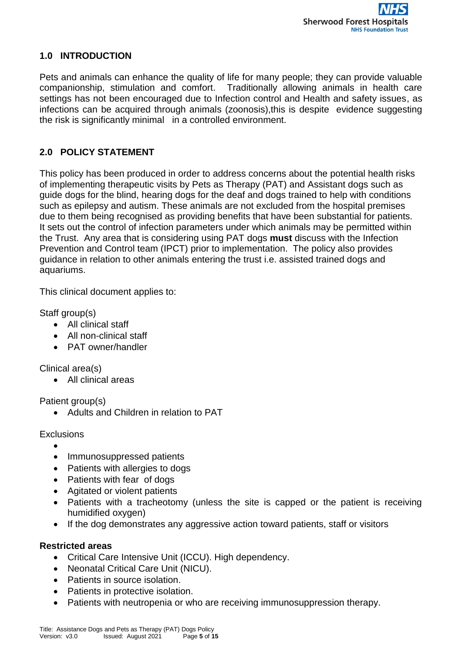# **1.0 INTRODUCTION**

Pets and animals can enhance the quality of life for many people; they can provide valuable companionship, stimulation and comfort. Traditionally allowing animals in health care settings has not been encouraged due to Infection control and Health and safety issues, as infections can be acquired through animals (zoonosis),this is despite evidence suggesting the risk is significantly minimal in a controlled environment.

# **2.0 POLICY STATEMENT**

This policy has been produced in order to address concerns about the potential health risks of implementing therapeutic visits by Pets as Therapy (PAT) and Assistant dogs such as guide dogs for the blind, hearing dogs for the deaf and dogs trained to help with conditions such as epilepsy and autism. These animals are not excluded from the hospital premises due to them being recognised as providing benefits that have been substantial for patients. It sets out the control of infection parameters under which animals may be permitted within the Trust. Any area that is considering using PAT dogs **must** discuss with the Infection Prevention and Control team (IPCT) prior to implementation. The policy also provides guidance in relation to other animals entering the trust i.e. assisted trained dogs and aquariums.

This clinical document applies to:

Staff group(s)

- All clinical staff
- All non-clinical staff
- PAT owner/handler

Clinical area(s)

All clinical areas

Patient group(s)

Adults and Children in relation to PAT

# Exclusions

- $\bullet$
- Immunosuppressed patients
- Patients with allergies to dogs
- Patients with fear of dogs
- Agitated or violent patients
- Patients with a tracheotomy (unless the site is capped or the patient is receiving humidified oxygen)
- If the dog demonstrates any aggressive action toward patients, staff or visitors

### **Restricted areas**

- Critical Care Intensive Unit (ICCU). High dependency.
- Neonatal Critical Care Unit (NICU).
- Patients in source isolation.
- Patients in protective isolation.
- Patients with neutropenia or who are receiving immunosuppression therapy.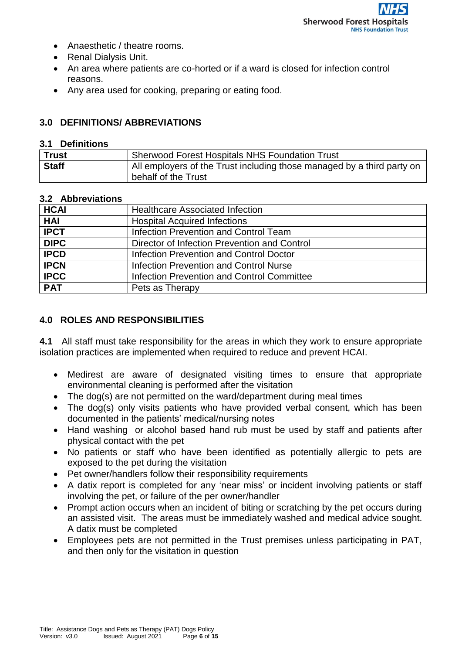- Anaesthetic / theatre rooms.
- Renal Dialysis Unit.
- An area where patients are co-horted or if a ward is closed for infection control reasons.
- Any area used for cooking, preparing or eating food.

### **3.0 DEFINITIONS/ ABBREVIATIONS**

#### **3.1 Definitions**

| <b>Trust</b> | <b>Sherwood Forest Hospitals NHS Foundation Trust</b>                  |
|--------------|------------------------------------------------------------------------|
| <b>Staff</b> | All employers of the Trust including those managed by a third party on |
|              | behalf of the Trust                                                    |

#### **3.2 Abbreviations**

| <b>HCAI</b> | <b>Healthcare Associated Infection</b>            |  |
|-------------|---------------------------------------------------|--|
| <b>HAI</b>  | <b>Hospital Acquired Infections</b>               |  |
| <b>IPCT</b> | Infection Prevention and Control Team             |  |
| <b>DIPC</b> | Director of Infection Prevention and Control      |  |
| <b>IPCD</b> | Infection Prevention and Control Doctor           |  |
| <b>IPCN</b> | Infection Prevention and Control Nurse            |  |
| <b>IPCC</b> | <b>Infection Prevention and Control Committee</b> |  |
| <b>PAT</b>  | Pets as Therapy                                   |  |

### **4.0 ROLES AND RESPONSIBILITIES**

**4.1** All staff must take responsibility for the areas in which they work to ensure appropriate isolation practices are implemented when required to reduce and prevent HCAI.

- Medirest are aware of designated visiting times to ensure that appropriate environmental cleaning is performed after the visitation
- The dog(s) are not permitted on the ward/department during meal times
- The dog(s) only visits patients who have provided verbal consent, which has been documented in the patients' medical/nursing notes
- Hand washing or alcohol based hand rub must be used by staff and patients after physical contact with the pet
- No patients or staff who have been identified as potentially allergic to pets are exposed to the pet during the visitation
- Pet owner/handlers follow their responsibility requirements
- A datix report is completed for any 'near miss' or incident involving patients or staff involving the pet, or failure of the per owner/handler
- Prompt action occurs when an incident of biting or scratching by the pet occurs during an assisted visit. The areas must be immediately washed and medical advice sought. A datix must be completed
- Employees pets are not permitted in the Trust premises unless participating in PAT, and then only for the visitation in question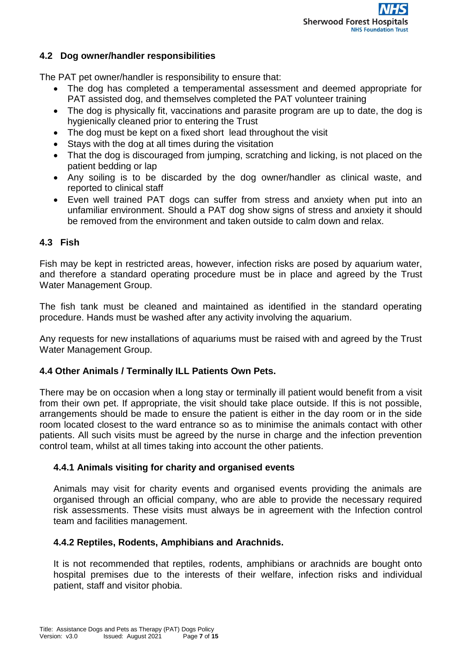### **4.2 Dog owner/handler responsibilities**

The PAT pet owner/handler is responsibility to ensure that:

- The dog has completed a temperamental assessment and deemed appropriate for PAT assisted dog, and themselves completed the PAT volunteer training
- The dog is physically fit, vaccinations and parasite program are up to date, the dog is hygienically cleaned prior to entering the Trust
- The dog must be kept on a fixed short lead throughout the visit
- Stays with the dog at all times during the visitation
- That the dog is discouraged from jumping, scratching and licking, is not placed on the patient bedding or lap
- Any soiling is to be discarded by the dog owner/handler as clinical waste, and reported to clinical staff
- Even well trained PAT dogs can suffer from stress and anxiety when put into an unfamiliar environment. Should a PAT dog show signs of stress and anxiety it should be removed from the environment and taken outside to calm down and relax.

### **4.3 Fish**

Fish may be kept in restricted areas, however, infection risks are posed by aquarium water, and therefore a standard operating procedure must be in place and agreed by the Trust Water Management Group.

The fish tank must be cleaned and maintained as identified in the standard operating procedure. Hands must be washed after any activity involving the aquarium.

Any requests for new installations of aquariums must be raised with and agreed by the Trust Water Management Group.

# **4.4 Other Animals / Terminally ILL Patients Own Pets.**

There may be on occasion when a long stay or terminally ill patient would benefit from a visit from their own pet. If appropriate, the visit should take place outside. If this is not possible, arrangements should be made to ensure the patient is either in the day room or in the side room located closest to the ward entrance so as to minimise the animals contact with other patients. All such visits must be agreed by the nurse in charge and the infection prevention control team, whilst at all times taking into account the other patients.

### **4.4.1 Animals visiting for charity and organised events**

Animals may visit for charity events and organised events providing the animals are organised through an official company, who are able to provide the necessary required risk assessments. These visits must always be in agreement with the Infection control team and facilities management.

### **4.4.2 Reptiles, Rodents, Amphibians and Arachnids.**

It is not recommended that reptiles, rodents, amphibians or arachnids are bought onto hospital premises due to the interests of their welfare, infection risks and individual patient, staff and visitor phobia.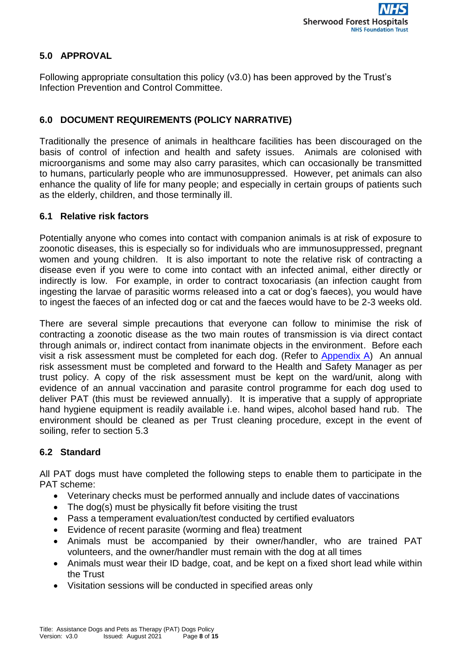# **5.0 APPROVAL**

Following appropriate consultation this policy (v3.0) has been approved by the Trust's Infection Prevention and Control Committee.

# **6.0 DOCUMENT REQUIREMENTS (POLICY NARRATIVE)**

Traditionally the presence of animals in healthcare facilities has been discouraged on the basis of control of infection and health and safety issues. Animals are colonised with microorganisms and some may also carry parasites, which can occasionally be transmitted to humans, particularly people who are immunosuppressed. However, pet animals can also enhance the quality of life for many people; and especially in certain groups of patients such as the elderly, children, and those terminally ill.

### **6.1 Relative risk factors**

Potentially anyone who comes into contact with companion animals is at risk of exposure to zoonotic diseases, this is especially so for individuals who are immunosuppressed, pregnant women and young children. It is also important to note the relative risk of contracting a disease even if you were to come into contact with an infected animal, either directly or indirectly is low. For example, in order to contract toxocariasis (an infection caught from ingesting the larvae of parasitic worms released into a cat or dog's faeces), you would have to ingest the faeces of an infected dog or cat and the faeces would have to be 2-3 weeks old.

There are several simple precautions that everyone can follow to minimise the risk of contracting a zoonotic disease as the two main routes of transmission is via direct contact through animals or, indirect contact from inanimate objects in the environment. Before each visit a risk assessment must be completed for each dog. (Refer to [Appendix A\)](#page-12-0) An annual risk assessment must be completed and forward to the Health and Safety Manager as per trust policy. A copy of the risk assessment must be kept on the ward/unit, along with evidence of an annual vaccination and parasite control programme for each dog used to deliver PAT (this must be reviewed annually). It is imperative that a supply of appropriate hand hygiene equipment is readily available i.e. hand wipes, alcohol based hand rub. The environment should be cleaned as per Trust cleaning procedure, except in the event of soiling, refer to section 5.3

# **6.2 Standard**

All PAT dogs must have completed the following steps to enable them to participate in the PAT scheme:

- Veterinary checks must be performed annually and include dates of vaccinations
- The dog(s) must be physically fit before visiting the trust
- Pass a temperament evaluation/test conducted by certified evaluators
- Evidence of recent parasite (worming and flea) treatment
- Animals must be accompanied by their owner/handler, who are trained PAT volunteers, and the owner/handler must remain with the dog at all times
- Animals must wear their ID badge, coat, and be kept on a fixed short lead while within the Trust
- Visitation sessions will be conducted in specified areas only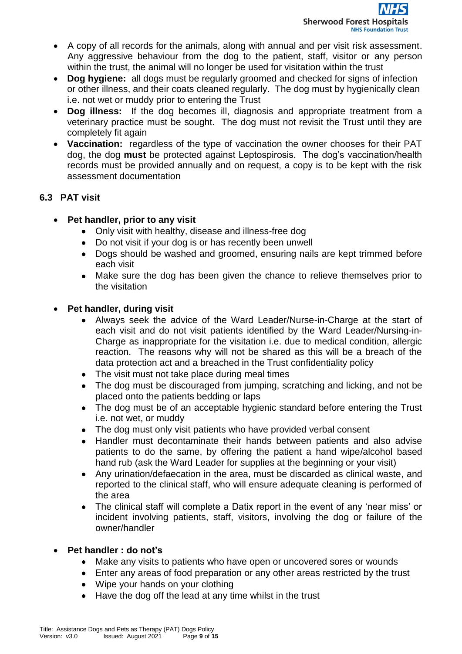- A copy of all records for the animals, along with annual and per visit risk assessment. Any aggressive behaviour from the dog to the patient, staff, visitor or any person within the trust, the animal will no longer be used for visitation within the trust
- **Dog hygiene:** all dogs must be regularly groomed and checked for signs of infection or other illness, and their coats cleaned regularly. The dog must by hygienically clean i.e. not wet or muddy prior to entering the Trust
- **Dog illness:** If the dog becomes ill, diagnosis and appropriate treatment from a veterinary practice must be sought. The dog must not revisit the Trust until they are completely fit again
- **Vaccination:** regardless of the type of vaccination the owner chooses for their PAT dog, the dog **must** be protected against Leptospirosis. The dog's vaccination/health records must be provided annually and on request, a copy is to be kept with the risk assessment documentation

# **6.3 PAT visit**

- **Pet handler, prior to any visit**
	- Only visit with healthy, disease and illness-free dog
	- Do not visit if your dog is or has recently been unwell
	- Dogs should be washed and groomed, ensuring nails are kept trimmed before each visit
	- Make sure the dog has been given the chance to relieve themselves prior to the visitation

# **Pet handler, during visit**

- Always seek the advice of the Ward Leader/Nurse-in-Charge at the start of each visit and do not visit patients identified by the Ward Leader/Nursing-in-Charge as inappropriate for the visitation i.e. due to medical condition, allergic reaction. The reasons why will not be shared as this will be a breach of the data protection act and a breached in the Trust confidentiality policy
- The visit must not take place during meal times
- The dog must be discouraged from jumping, scratching and licking, and not be placed onto the patients bedding or laps
- The dog must be of an acceptable hygienic standard before entering the Trust i.e. not wet, or muddy
- The dog must only visit patients who have provided verbal consent
- Handler must decontaminate their hands between patients and also advise patients to do the same, by offering the patient a hand wipe/alcohol based hand rub (ask the Ward Leader for supplies at the beginning or your visit)
- Any urination/defaecation in the area, must be discarded as clinical waste, and reported to the clinical staff, who will ensure adequate cleaning is performed of the area
- The clinical staff will complete a Datix report in the event of any 'near miss' or incident involving patients, staff, visitors, involving the dog or failure of the owner/handler

# **Pet handler : do not's**

- Make any visits to patients who have open or uncovered sores or wounds
- Enter any areas of food preparation or any other areas restricted by the trust
- Wipe your hands on your clothing
- Have the dog off the lead at any time whilst in the trust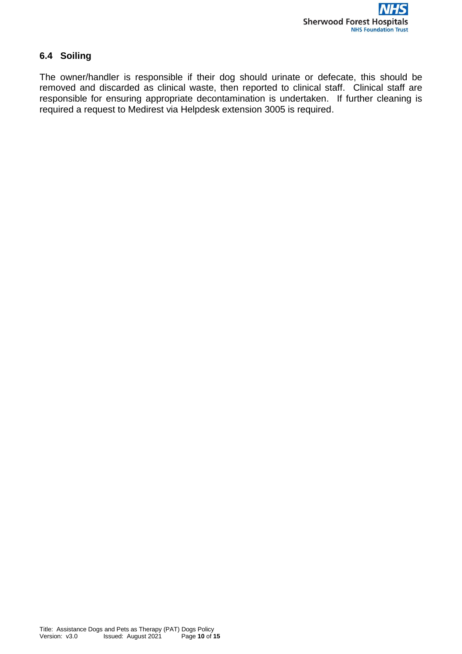# **6.4 Soiling**

The owner/handler is responsible if their dog should urinate or defecate, this should be removed and discarded as clinical waste, then reported to clinical staff. Clinical staff are responsible for ensuring appropriate decontamination is undertaken. If further cleaning is required a request to Medirest via Helpdesk extension 3005 is required.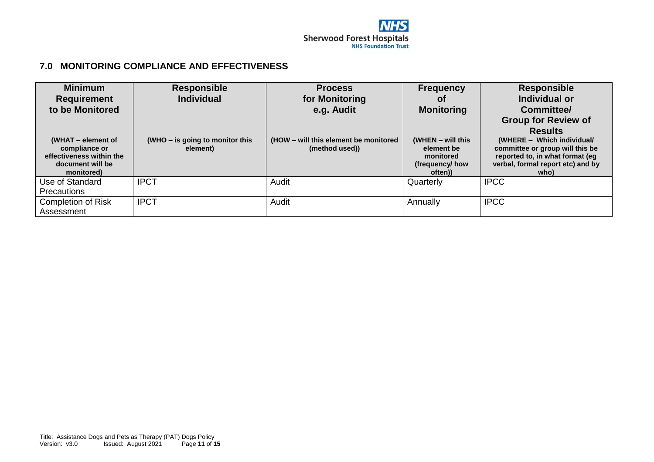### **7.0 MONITORING COMPLIANCE AND EFFECTIVENESS**

| <b>Minimum</b>                            | <b>Responsible</b>              | <b>Process</b>                        | <b>Frequency</b>        | <b>Responsible</b>                                                 |
|-------------------------------------------|---------------------------------|---------------------------------------|-------------------------|--------------------------------------------------------------------|
| <b>Requirement</b>                        | <b>Individual</b>               | for Monitoring                        | 0t                      | Individual or                                                      |
| to be Monitored                           |                                 | e.g. Audit                            | <b>Monitoring</b>       | Committee/                                                         |
|                                           |                                 |                                       |                         | <b>Group for Review of</b>                                         |
|                                           |                                 |                                       |                         | <b>Results</b>                                                     |
| (WHAT – element of                        | (WHO – is going to monitor this | (HOW – will this element be monitored | (WHEN $-$ will this     | (WHERE - Which individual/                                         |
| compliance or<br>effectiveness within the | element)                        | (method used))                        | element be<br>monitored | committee or group will this be<br>reported to, in what format (eg |
| document will be                          |                                 |                                       | (frequency/ how         | verbal, formal report etc) and by                                  |
| monitored)                                |                                 |                                       | often))                 | who)                                                               |
| Use of Standard                           | <b>IPCT</b>                     | Audit                                 | Quarterly               | <b>IPCC</b>                                                        |
| <b>Precautions</b>                        |                                 |                                       |                         |                                                                    |
| <b>Completion of Risk</b>                 | <b>IPCT</b>                     | Audit                                 | Annually                | <b>IPCC</b>                                                        |
| Assessment                                |                                 |                                       |                         |                                                                    |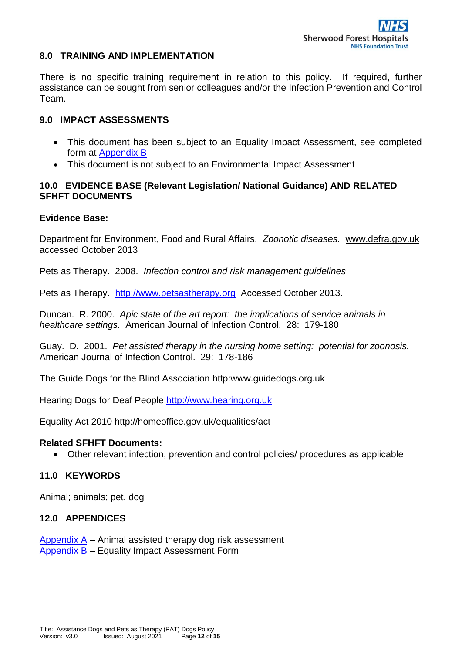#### **8.0 TRAINING AND IMPLEMENTATION**

There is no specific training requirement in relation to this policy. If required, further assistance can be sought from senior colleagues and/or the Infection Prevention and Control Team.

#### **9.0 IMPACT ASSESSMENTS**

- This document has been subject to an Equality Impact Assessment, see completed form at [Appendix B](#page-13-0)
- This document is not subject to an Environmental Impact Assessment

### **10.0 EVIDENCE BASE (Relevant Legislation/ National Guidance) AND RELATED SFHFT DOCUMENTS**

#### **Evidence Base:**

Department for Environment, Food and Rural Affairs. *Zoonotic diseases.* [www.defra.gov.uk](http://www.defra.gov.uk/)  accessed October 2013

Pets as Therapy. 2008. *Infection control and risk management guidelines* 

Pets as Therapy. [http://www.petsastherapy.org](http://www.petsastherapy.org/) Accessed October 2013.

Duncan. R. 2000. *Apic state of the art report: the implications of service animals in healthcare settings.* American Journal of Infection Control. 28: 179-180

Guay. D. 2001. *Pet assisted therapy in the nursing home setting: potential for zoonosis.*  American Journal of Infection Control. 29: 178-186

The Guide Dogs for the Blind Association http:www.guidedogs.org.uk

Hearing Dogs for Deaf People [http://www.hearing.org.uk](http://www.hearing.org.uk/)

Equality Act 2010 http://homeoffice.gov.uk/equalities/act

#### **Related SFHFT Documents:**

Other relevant infection, prevention and control policies/ procedures as applicable

### **11.0 KEYWORDS**

Animal; animals; pet, dog

### **12.0 APPENDICES**

[Appendix A](#page-12-0) – Animal assisted therapy dog risk assessment [Appendix B](#page-13-0) - Equality Impact Assessment Form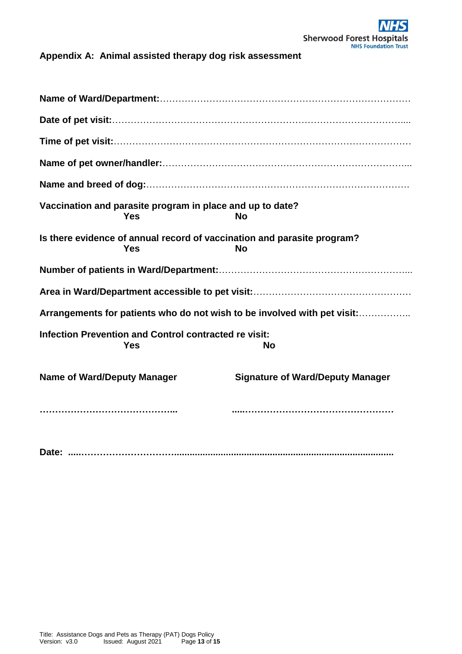<span id="page-12-0"></span>**Appendix A: Animal assisted therapy dog risk assessment**

|                                    | Vaccination and parasite program in place and up to date?<br><b>Yes</b> | <b>No</b>                                                                            |
|------------------------------------|-------------------------------------------------------------------------|--------------------------------------------------------------------------------------|
|                                    | <b>Yes</b>                                                              | Is there evidence of annual record of vaccination and parasite program?<br><b>No</b> |
|                                    |                                                                         |                                                                                      |
|                                    |                                                                         |                                                                                      |
|                                    |                                                                         | Arrangements for patients who do not wish to be involved with pet visit:             |
|                                    | Infection Prevention and Control contracted re visit:<br><b>Yes</b>     | <b>No</b>                                                                            |
| <b>Name of Ward/Deputy Manager</b> |                                                                         | <b>Signature of Ward/Deputy Manager</b>                                              |
|                                    |                                                                         |                                                                                      |
|                                    |                                                                         |                                                                                      |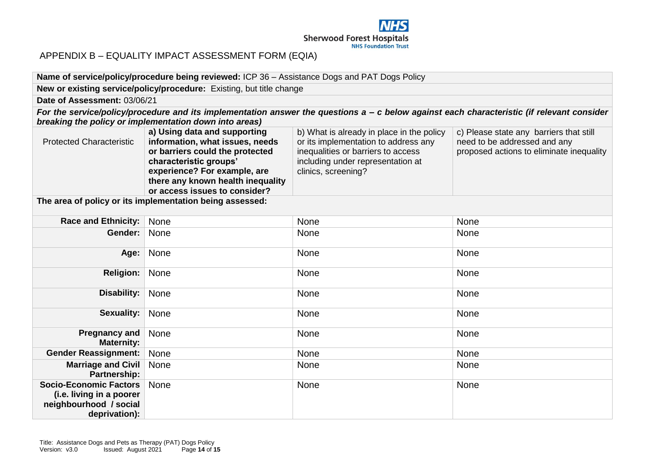

#### APPENDIX B – EQUALITY IMPACT ASSESSMENT FORM (EQIA)

#### **Name of service/policy/procedure being reviewed:** ICP 36 – Assistance Dogs and PAT Dogs Policy

**New or existing service/policy/procedure:** Existing, but title change

#### **Date of Assessment:** 03/06/21

*For the service/policy/procedure and its implementation answer the questions a – c below against each characteristic (if relevant consider breaking the policy or implementation down into areas)*

|                                 | a) Using data and supporting      | b) What is already in place in the policy | c) Please state any barriers that still  |
|---------------------------------|-----------------------------------|-------------------------------------------|------------------------------------------|
| <b>Protected Characteristic</b> | information, what issues, needs   | or its implementation to address any      | need to be addressed and any             |
|                                 | or barriers could the protected   | inequalities or barriers to access        | proposed actions to eliminate inequality |
|                                 | characteristic groups'            | including under representation at         |                                          |
|                                 | experience? For example, are      | clinics, screening?                       |                                          |
|                                 | there any known health inequality |                                           |                                          |
|                                 | or access issues to consider?     |                                           |                                          |

**The area of policy or its implementation being assessed:** 

<span id="page-13-0"></span>

| Race and Ethnicity:                                                                                  | None | None        | None |
|------------------------------------------------------------------------------------------------------|------|-------------|------|
| Gender:                                                                                              | None | <b>None</b> | None |
| Age:                                                                                                 | None | None        | None |
| <b>Religion:</b>                                                                                     | None | None        | None |
| Disability:                                                                                          | None | None        | None |
| <b>Sexuality:</b>                                                                                    | None | None        | None |
| <b>Pregnancy and</b><br><b>Maternity:</b>                                                            | None | None        | None |
| <b>Gender Reassignment:</b>                                                                          | None | None        | None |
| Marriage and Civil<br>Partnership:                                                                   | None | None        | None |
| <b>Socio-Economic Factors</b><br>(i.e. living in a poorer<br>neighbourhood / social<br>deprivation): | None | None        | None |